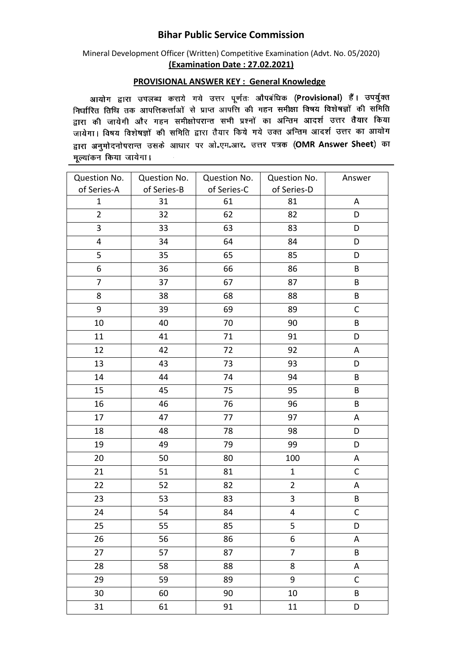## **Bihar Public Service Commission**

Mineral Development Officer (Written) Competitive Examination (Advt. No. 05/2020) **(Examination Date : 27.02.2021)**

## **PROVISIONAL ANSWER KEY : General Knowledge**

आयोग द्वारा उपलब्ध कराये गये उत्तर पूर्णतः औपबंधिक (Provisional) हैं। उपर्युक्त निर्धारित तिथि तक आपत्तिकर्त्ताओं से प्राप्त आपत्ति की गहन समीक्षा विषय विशेषज्ञों की समिति सम्बद्धाः स्तानं सेके जानाराकराज्या से आसी जाता कर रहे में सम्मा स्वरूप में सम्मान्यता है।<br>द्वारा की जायेगी और गहन समीक्षोपरान्त सभी प्रश्नों का अन्तिम आदर्श उत्तर तैयार किया जायेगा। विषय विशेषज्ञों की समिति द्वारा तैयार किये गये उक्त अन्तिम आदर्श उत्तर का आयोग द्वारा अनुमोदनोपरान्त उसके आधार पर ओ.एम.आर. उत्तर पत्रक (OMR Answer Sheet) का मुल्यांकन किया जायेगा।

| Question No.   | Question No. | Question No. | Question No.            | Answer       |
|----------------|--------------|--------------|-------------------------|--------------|
| of Series-A    | of Series-B  | of Series-C  | of Series-D             |              |
| $\mathbf{1}$   | 31           | 61           | 81                      | A            |
| $\overline{2}$ | 32           | 62           | 82                      | D            |
| 3              | 33           | 63           | 83                      | D            |
| 4              | 34           | 64           | 84                      | D            |
| 5              | 35           | 65           | 85                      | D            |
| 6              | 36           | 66           | 86                      | B            |
| $\overline{7}$ | 37           | 67           | 87                      | B            |
| 8              | 38           | 68           | 88                      | B            |
| 9              | 39           | 69           | 89                      | $\mathsf C$  |
| 10             | 40           | 70           | 90                      | B            |
| 11             | 41           | 71           | 91                      | D            |
| 12             | 42           | 72           | 92                      | A            |
| 13             | 43           | 73           | 93                      | D            |
| 14             | 44           | 74           | 94                      | B            |
| 15             | 45           | 75           | 95                      | B            |
| 16             | 46           | 76           | 96                      | B            |
| 17             | 47           | 77           | 97                      | A            |
| 18             | 48           | 78           | 98                      | D            |
| 19             | 49           | 79           | 99                      | D            |
| 20             | 50           | 80           | 100                     | A            |
| 21             | 51           | 81           | $\mathbf{1}$            | $\mathsf{C}$ |
| 22             | 52           | 82           | $\overline{2}$          | A            |
| 23             | 53           | 83           | 3                       | B            |
| 24             | 54           | 84           | $\overline{\mathbf{4}}$ | $\mathsf C$  |
| 25             | 55           | 85           | 5                       | D            |
| 26             | 56           | 86           | 6                       | A            |
| 27             | 57           | 87           | $\overline{7}$          | B            |
| 28             | 58           | 88           | 8                       | A            |
| 29             | 59           | 89           | 9                       | $\mathsf C$  |
| 30             | 60           | 90           | 10                      | B            |
| 31             | 61           | 91           | 11                      | D            |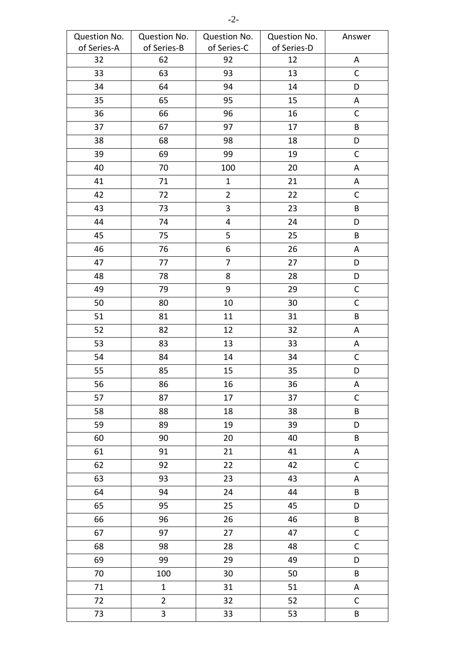| Question No. | Question No.            | Question No.   | Question No. | Answer       |
|--------------|-------------------------|----------------|--------------|--------------|
| of Series-A  | of Series-B             | of Series-C    | of Series-D  |              |
| 32           | 62                      | 92             | 12           | A            |
| 33           | 63                      | 93             | 13           | $\mathsf{C}$ |
| 34           | 64                      | 94             | 14           | D            |
| 35           | 65                      | 95             | 15           | A            |
| 36           | 66                      | 96             | 16           | $\mathsf C$  |
| 37           | 67                      | 97             | 17           | B            |
| 38           | 68                      | 98             | 18           | D            |
| 39           | 69                      | 99             | 19           | $\mathsf C$  |
| 40           | 70                      | 100            | 20           | Α            |
| 41           | 71                      | $\mathbf 1$    | 21           | A            |
| 42           | 72                      | $\overline{2}$ | 22           | $\mathsf{C}$ |
| 43           | 73                      | 3              | 23           | B            |
| 44           | 74                      | 4              | 24           | D            |
| 45           | 75                      | 5              | 25           | B            |
| 46           | 76                      | 6              | 26           | A            |
| 47           | 77                      | $\overline{7}$ | 27           | D            |
| 48           | 78                      | 8              | 28           | D            |
| 49           | 79                      | 9              | 29           | $\mathsf C$  |
| 50           | 80                      | 10             | 30           | $\mathsf{C}$ |
| 51           | 81                      | 11             | 31           | $\sf{B}$     |
| 52           | 82                      | 12             | 32           | A            |
| 53           | 83                      | 13             | 33           | A            |
| 54           | 84                      | 14             | 34           | $\mathsf C$  |
| 55           | 85                      | 15             | 35           | D            |
| 56           | 86                      | $16\,$         | 36           | A            |
| 57           | 87                      | 17             | 37           | $\mathsf{C}$ |
| 58           | 88                      | 18             | 38           | B            |
| 59           | 89                      | 19             | 39           | D            |
| 60           | 90                      | 20             | 40           | B            |
| 61           | 91                      | 21             | 41           | A            |
| 62           | 92                      | 22             | 42           | $\mathsf{C}$ |
| 63           | 93                      | 23             | 43           | A            |
| 64           | 94                      | 24             | 44           | $\sf{B}$     |
| 65           | 95                      | 25             | 45           | D            |
| 66           | 96                      | 26             | 46           | $\sf{B}$     |
| 67           | 97                      | 27             | 47           | $\mathsf C$  |
| 68           | 98                      | 28             | 48           | $\mathsf C$  |
| 69           | 99                      | 29             | 49           | D            |
| 70           | 100                     | 30             | 50           | B            |
| 71           | $\mathbf{1}$            | 31             | 51           | A            |
| 72           | $\overline{2}$          | 32             | 52           | $\mathsf{C}$ |
| 73           | $\overline{\mathbf{3}}$ | 33             | 53           | B            |